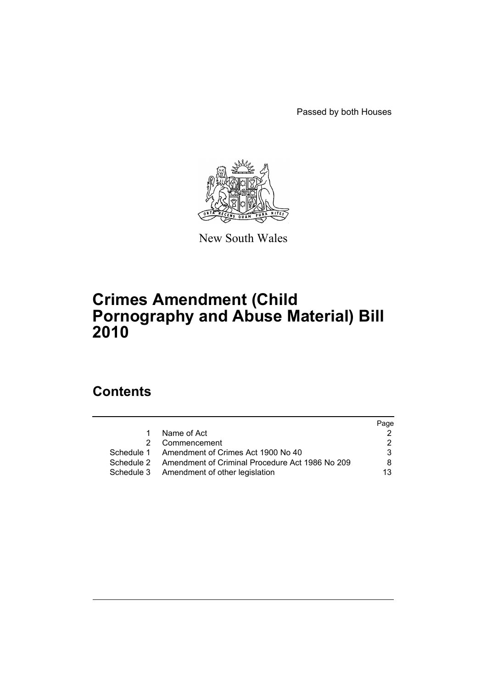Passed by both Houses



New South Wales

# **Crimes Amendment (Child Pornography and Abuse Material) Bill 2010**

# **Contents**

|    |                                                            | Page |
|----|------------------------------------------------------------|------|
| 1. | Name of Act                                                |      |
|    | 2 Commencement                                             |      |
|    | Schedule 1 Amendment of Crimes Act 1900 No 40              | 3.   |
|    | Schedule 2 Amendment of Criminal Procedure Act 1986 No 209 | 8    |
|    | Schedule 3 Amendment of other legislation                  | 13   |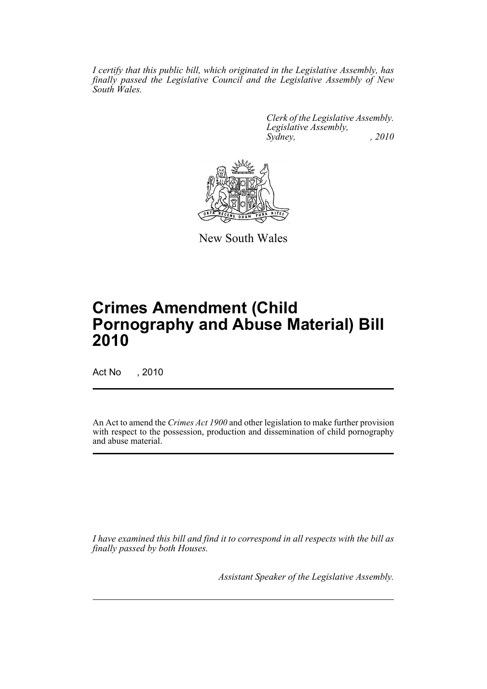*I certify that this public bill, which originated in the Legislative Assembly, has finally passed the Legislative Council and the Legislative Assembly of New South Wales.*

> *Clerk of the Legislative Assembly. Legislative Assembly, Sydney, , 2010*



New South Wales

# **Crimes Amendment (Child Pornography and Abuse Material) Bill 2010**

Act No , 2010

An Act to amend the *Crimes Act 1900* and other legislation to make further provision with respect to the possession, production and dissemination of child pornography and abuse material.

*I have examined this bill and find it to correspond in all respects with the bill as finally passed by both Houses.*

*Assistant Speaker of the Legislative Assembly.*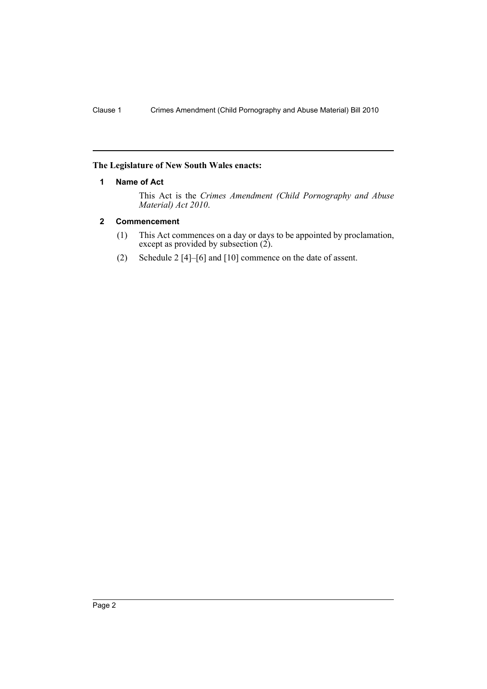#### <span id="page-2-0"></span>**The Legislature of New South Wales enacts:**

## **1 Name of Act**

This Act is the *Crimes Amendment (Child Pornography and Abuse Material) Act 2010*.

## <span id="page-2-1"></span>**2 Commencement**

- (1) This Act commences on a day or days to be appointed by proclamation, except as provided by subsection (2).
- (2) Schedule 2 [4]–[6] and [10] commence on the date of assent.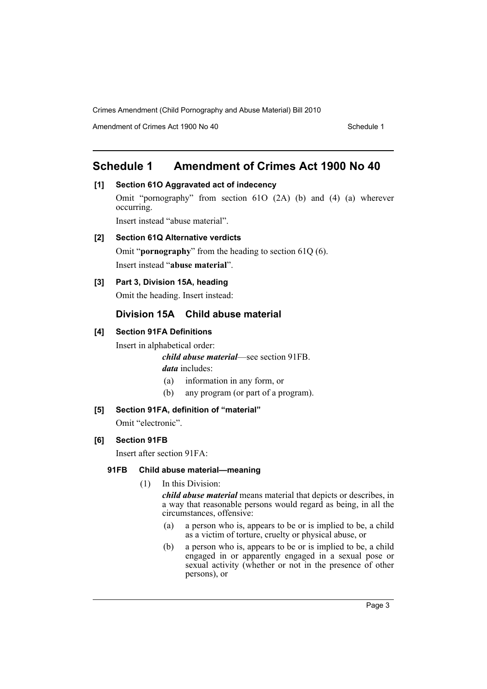Amendment of Crimes Act 1900 No 40 Schedule 1

# <span id="page-3-0"></span>**Schedule 1 Amendment of Crimes Act 1900 No 40**

# **[1] Section 61O Aggravated act of indecency**

Omit "pornography" from section 61O (2A) (b) and (4) (a) wherever occurring.

Insert instead "abuse material".

# **[2] Section 61Q Alternative verdicts**

Omit "**pornography**" from the heading to section 61Q (6). Insert instead "**abuse material**".

# **[3] Part 3, Division 15A, heading**

Omit the heading. Insert instead:

# **Division 15A Child abuse material**

# **[4] Section 91FA Definitions**

Insert in alphabetical order:

*child abuse material*—see section 91FB. *data* includes:

- (a) information in any form, or
- (b) any program (or part of a program).

# **[5] Section 91FA, definition of "material"**

Omit "electronic".

# **[6] Section 91FB**

Insert after section 91FA:

## **91FB Child abuse material—meaning**

(1) In this Division:

*child abuse material* means material that depicts or describes, in a way that reasonable persons would regard as being, in all the circumstances, offensive:

- (a) a person who is, appears to be or is implied to be, a child as a victim of torture, cruelty or physical abuse, or
- (b) a person who is, appears to be or is implied to be, a child engaged in or apparently engaged in a sexual pose or sexual activity (whether or not in the presence of other persons), or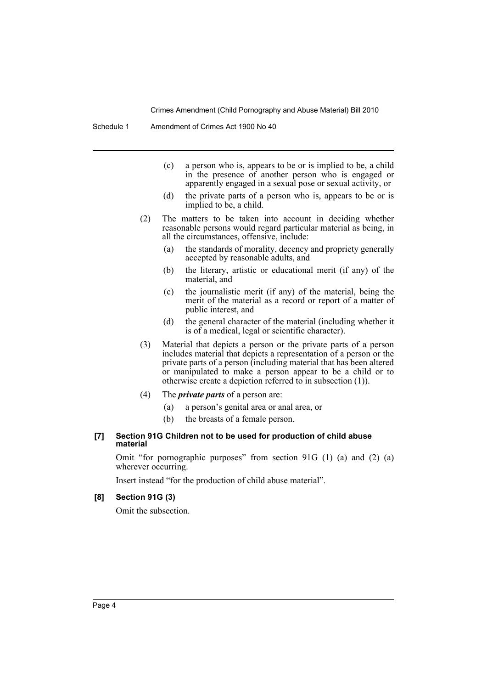- (c) a person who is, appears to be or is implied to be, a child in the presence of another person who is engaged or apparently engaged in a sexual pose or sexual activity, or
- (d) the private parts of a person who is, appears to be or is implied to be, a child.
- (2) The matters to be taken into account in deciding whether reasonable persons would regard particular material as being, in all the circumstances, offensive, include:
	- (a) the standards of morality, decency and propriety generally accepted by reasonable adults, and
	- (b) the literary, artistic or educational merit (if any) of the material, and
	- (c) the journalistic merit (if any) of the material, being the merit of the material as a record or report of a matter of public interest, and
	- (d) the general character of the material (including whether it is of a medical, legal or scientific character).
- (3) Material that depicts a person or the private parts of a person includes material that depicts a representation of a person or the private parts of a person (including material that has been altered or manipulated to make a person appear to be a child or to otherwise create a depiction referred to in subsection  $(1)$ ).
- (4) The *private parts* of a person are:
	- (a) a person's genital area or anal area, or
	- (b) the breasts of a female person.

#### **[7] Section 91G Children not to be used for production of child abuse material**

Omit "for pornographic purposes" from section 91G (1) (a) and (2) (a) wherever occurring.

Insert instead "for the production of child abuse material".

#### **[8] Section 91G (3)**

Omit the subsection.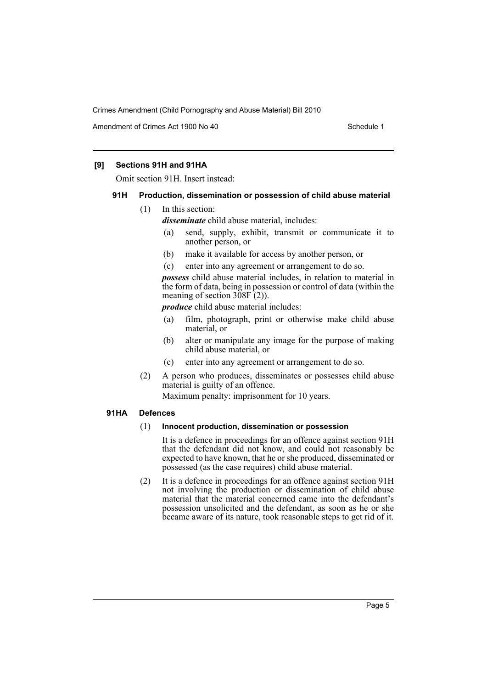Amendment of Crimes Act 1900 No 40 Schedule 1

#### **[9] Sections 91H and 91HA**

Omit section 91H. Insert instead:

#### **91H Production, dissemination or possession of child abuse material**

(1) In this section:

*disseminate* child abuse material, includes:

- (a) send, supply, exhibit, transmit or communicate it to another person, or
- (b) make it available for access by another person, or
- (c) enter into any agreement or arrangement to do so.

*possess* child abuse material includes, in relation to material in the form of data, being in possession or control of data (within the meaning of section  $3\overline{0}8\overline{F(2)}$ .

*produce* child abuse material includes:

- (a) film, photograph, print or otherwise make child abuse material, or
- (b) alter or manipulate any image for the purpose of making child abuse material, or
- (c) enter into any agreement or arrangement to do so.
- (2) A person who produces, disseminates or possesses child abuse material is guilty of an offence.

Maximum penalty: imprisonment for 10 years.

#### **91HA Defences**

#### (1) **Innocent production, dissemination or possession**

It is a defence in proceedings for an offence against section 91H that the defendant did not know, and could not reasonably be expected to have known, that he or she produced, disseminated or possessed (as the case requires) child abuse material.

(2) It is a defence in proceedings for an offence against section 91H not involving the production or dissemination of child abuse material that the material concerned came into the defendant's possession unsolicited and the defendant, as soon as he or she became aware of its nature, took reasonable steps to get rid of it.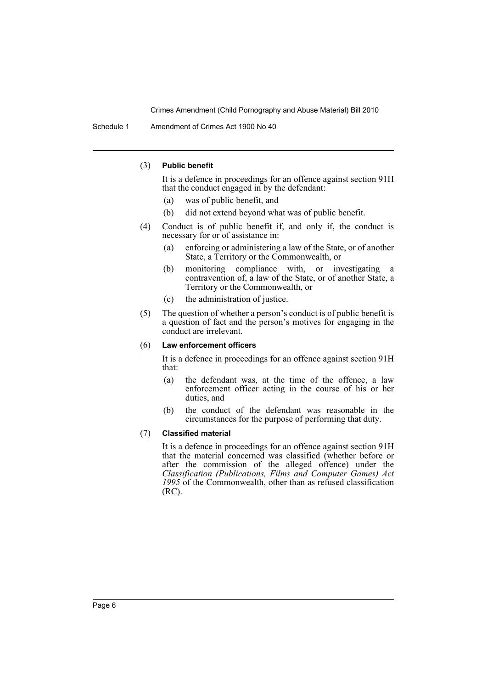Schedule 1 Amendment of Crimes Act 1900 No 40

#### (3) **Public benefit**

It is a defence in proceedings for an offence against section 91H that the conduct engaged in by the defendant:

- (a) was of public benefit, and
- (b) did not extend beyond what was of public benefit.
- (4) Conduct is of public benefit if, and only if, the conduct is necessary for or of assistance in:
	- (a) enforcing or administering a law of the State, or of another State, a Territory or the Commonwealth, or
	- (b) monitoring compliance with, or investigating a contravention of, a law of the State, or of another State, a Territory or the Commonwealth, or
	- (c) the administration of justice.
- (5) The question of whether a person's conduct is of public benefit is a question of fact and the person's motives for engaging in the conduct are irrelevant.

#### (6) **Law enforcement officers**

It is a defence in proceedings for an offence against section 91H that:

- (a) the defendant was, at the time of the offence, a law enforcement officer acting in the course of his or her duties, and
- (b) the conduct of the defendant was reasonable in the circumstances for the purpose of performing that duty.

#### (7) **Classified material**

It is a defence in proceedings for an offence against section 91H that the material concerned was classified (whether before or after the commission of the alleged offence) under the *Classification (Publications, Films and Computer Games) Act 1995* of the Commonwealth, other than as refused classification (RC).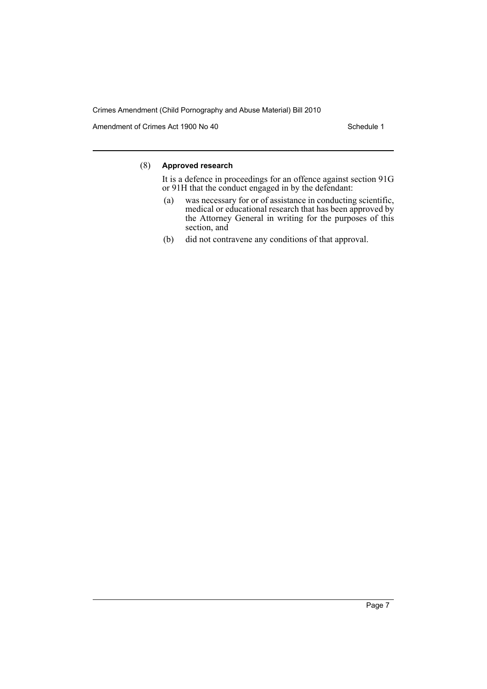Amendment of Crimes Act 1900 No 40 Schedule 1

## (8) **Approved research**

It is a defence in proceedings for an offence against section 91G or 91H that the conduct engaged in by the defendant:

- (a) was necessary for or of assistance in conducting scientific, medical or educational research that has been approved by the Attorney General in writing for the purposes of this section, and
- (b) did not contravene any conditions of that approval.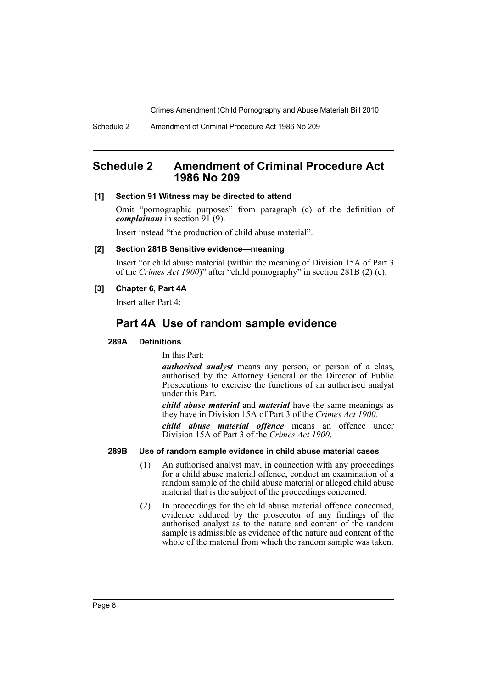# <span id="page-8-0"></span>**Schedule 2 Amendment of Criminal Procedure Act 1986 No 209**

#### **[1] Section 91 Witness may be directed to attend**

Omit "pornographic purposes" from paragraph (c) of the definition of *complainant* in section 91 (9).

Insert instead "the production of child abuse material".

#### **[2] Section 281B Sensitive evidence—meaning**

Insert "or child abuse material (within the meaning of Division 15A of Part 3 of the *Crimes Act 1900*)" after "child pornography" in section 281B (2) (c).

#### **[3] Chapter 6, Part 4A**

Insert after Part 4:

# **Part 4A Use of random sample evidence**

#### **289A Definitions**

In this Part:

*authorised analyst* means any person, or person of a class, authorised by the Attorney General or the Director of Public Prosecutions to exercise the functions of an authorised analyst under this Part.

*child abuse material* and *material* have the same meanings as they have in Division 15A of Part 3 of the *Crimes Act 1900*.

*child abuse material offence* means an offence under Division 15A of Part 3 of the *Crimes Act 1900*.

#### **289B Use of random sample evidence in child abuse material cases**

- (1) An authorised analyst may, in connection with any proceedings for a child abuse material offence, conduct an examination of a random sample of the child abuse material or alleged child abuse material that is the subject of the proceedings concerned.
- (2) In proceedings for the child abuse material offence concerned, evidence adduced by the prosecutor of any findings of the authorised analyst as to the nature and content of the random sample is admissible as evidence of the nature and content of the whole of the material from which the random sample was taken.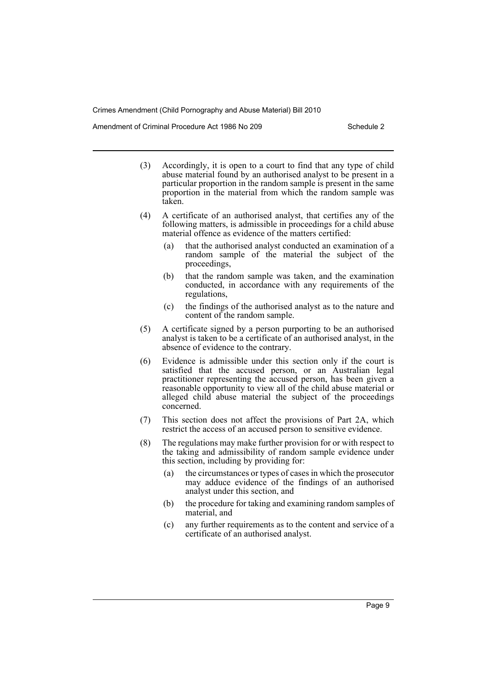Amendment of Criminal Procedure Act 1986 No 209

- (3) Accordingly, it is open to a court to find that any type of child abuse material found by an authorised analyst to be present in a particular proportion in the random sample is present in the same proportion in the material from which the random sample was taken.
- (4) A certificate of an authorised analyst, that certifies any of the following matters, is admissible in proceedings for a child abuse material offence as evidence of the matters certified:
	- (a) that the authorised analyst conducted an examination of a random sample of the material the subject of the proceedings,
	- (b) that the random sample was taken, and the examination conducted, in accordance with any requirements of the regulations,
	- (c) the findings of the authorised analyst as to the nature and content of the random sample.
- (5) A certificate signed by a person purporting to be an authorised analyst is taken to be a certificate of an authorised analyst, in the absence of evidence to the contrary.
- (6) Evidence is admissible under this section only if the court is satisfied that the accused person, or an Australian legal practitioner representing the accused person, has been given a reasonable opportunity to view all of the child abuse material or alleged child abuse material the subject of the proceedings concerned.
- (7) This section does not affect the provisions of Part 2A, which restrict the access of an accused person to sensitive evidence.
- (8) The regulations may make further provision for or with respect to the taking and admissibility of random sample evidence under this section, including by providing for:
	- (a) the circumstances or types of cases in which the prosecutor may adduce evidence of the findings of an authorised analyst under this section, and
	- (b) the procedure for taking and examining random samples of material, and
	- (c) any further requirements as to the content and service of a certificate of an authorised analyst.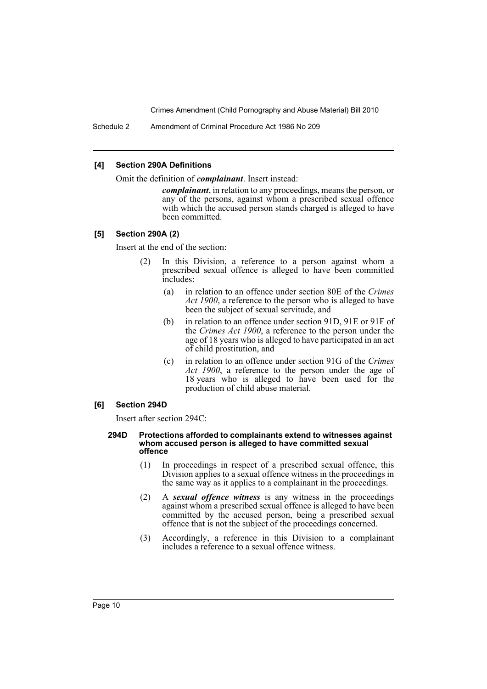Schedule 2 Amendment of Criminal Procedure Act 1986 No 209

#### **[4] Section 290A Definitions**

Omit the definition of *complainant*. Insert instead:

*complainant*, in relation to any proceedings, means the person, or any of the persons, against whom a prescribed sexual offence with which the accused person stands charged is alleged to have been committed.

#### **[5] Section 290A (2)**

Insert at the end of the section:

- (2) In this Division, a reference to a person against whom a prescribed sexual offence is alleged to have been committed includes:
	- (a) in relation to an offence under section 80E of the *Crimes Act 1900*, a reference to the person who is alleged to have been the subject of sexual servitude, and
	- (b) in relation to an offence under section 91D, 91E or 91F of the *Crimes Act 1900*, a reference to the person under the age of 18 years who is alleged to have participated in an act of child prostitution, and
	- (c) in relation to an offence under section 91G of the *Crimes Act 1900*, a reference to the person under the age of 18 years who is alleged to have been used for the production of child abuse material.

## **[6] Section 294D**

Insert after section 294C:

#### **294D Protections afforded to complainants extend to witnesses against whom accused person is alleged to have committed sexual offence**

- (1) In proceedings in respect of a prescribed sexual offence, this Division applies to a sexual offence witness in the proceedings in the same way as it applies to a complainant in the proceedings.
- (2) A *sexual offence witness* is any witness in the proceedings against whom a prescribed sexual offence is alleged to have been committed by the accused person, being a prescribed sexual offence that is not the subject of the proceedings concerned.
- (3) Accordingly, a reference in this Division to a complainant includes a reference to a sexual offence witness.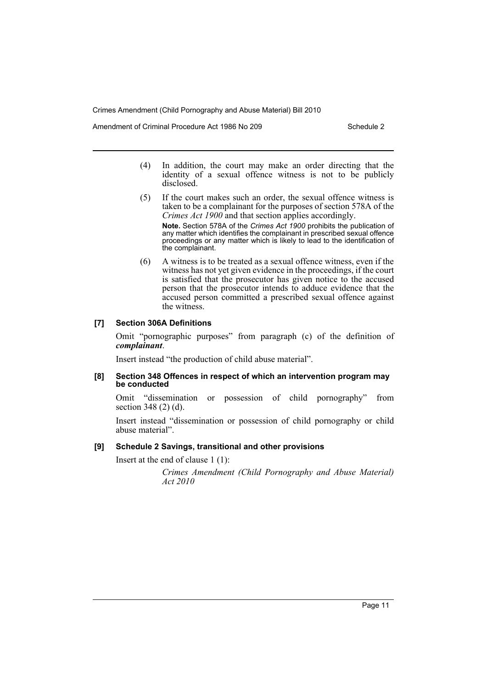Amendment of Criminal Procedure Act 1986 No 209 Schedule 2

- (4) In addition, the court may make an order directing that the identity of a sexual offence witness is not to be publicly disclosed.
- (5) If the court makes such an order, the sexual offence witness is taken to be a complainant for the purposes of section 578A of the *Crimes Act 1900* and that section applies accordingly.

**Note.** Section 578A of the *Crimes Act 1900* prohibits the publication of any matter which identifies the complainant in prescribed sexual offence proceedings or any matter which is likely to lead to the identification of the complainant.

(6) A witness is to be treated as a sexual offence witness, even if the witness has not yet given evidence in the proceedings, if the court is satisfied that the prosecutor has given notice to the accused person that the prosecutor intends to adduce evidence that the accused person committed a prescribed sexual offence against the witness.

#### **[7] Section 306A Definitions**

Omit "pornographic purposes" from paragraph (c) of the definition of *complainant*.

Insert instead "the production of child abuse material".

#### **[8] Section 348 Offences in respect of which an intervention program may be conducted**

Omit "dissemination or possession of child pornography" from section 348 (2) (d).

Insert instead "dissemination or possession of child pornography or child abuse material".

# **[9] Schedule 2 Savings, transitional and other provisions**

Insert at the end of clause 1 (1):

*Crimes Amendment (Child Pornography and Abuse Material) Act 2010*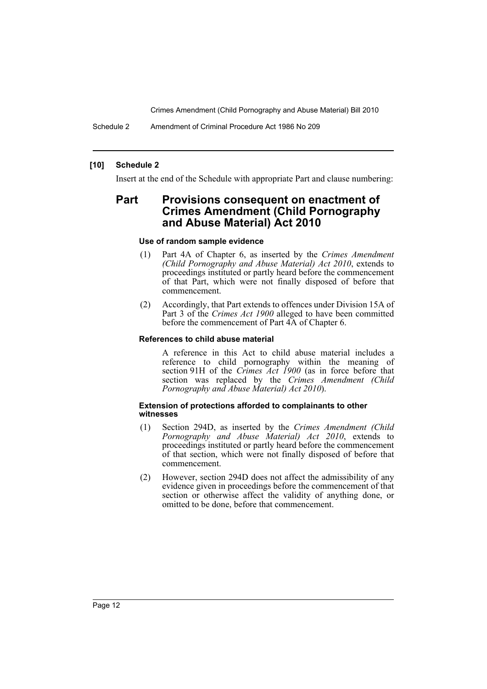Schedule 2 Amendment of Criminal Procedure Act 1986 No 209

## **[10] Schedule 2**

Insert at the end of the Schedule with appropriate Part and clause numbering:

# **Part Provisions consequent on enactment of Crimes Amendment (Child Pornography and Abuse Material) Act 2010**

#### **Use of random sample evidence**

- (1) Part 4A of Chapter 6, as inserted by the *Crimes Amendment (Child Pornography and Abuse Material) Act 2010*, extends to proceedings instituted or partly heard before the commencement of that Part, which were not finally disposed of before that commencement.
- (2) Accordingly, that Part extends to offences under Division 15A of Part 3 of the *Crimes Act 1900* alleged to have been committed before the commencement of Part 4A of Chapter 6.

#### **References to child abuse material**

A reference in this Act to child abuse material includes a reference to child pornography within the meaning of section 91H of the *Crimes Act 1900* (as in force before that section was replaced by the *Crimes Amendment (Child Pornography and Abuse Material) Act 2010*).

#### **Extension of protections afforded to complainants to other witnesses**

- (1) Section 294D, as inserted by the *Crimes Amendment (Child Pornography and Abuse Material) Act 2010*, extends to proceedings instituted or partly heard before the commencement of that section, which were not finally disposed of before that commencement.
- (2) However, section 294D does not affect the admissibility of any evidence given in proceedings before the commencement of that section or otherwise affect the validity of anything done, or omitted to be done, before that commencement.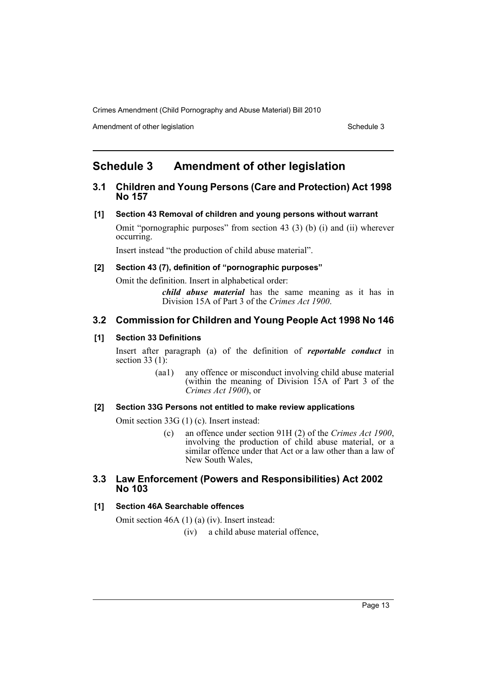Amendment of other legislation Schedule 3

# <span id="page-13-0"></span>**Schedule 3 Amendment of other legislation**

# **3.1 Children and Young Persons (Care and Protection) Act 1998 No 157**

## **[1] Section 43 Removal of children and young persons without warrant**

Omit "pornographic purposes" from section 43 (3) (b) (i) and (ii) wherever occurring.

Insert instead "the production of child abuse material".

# **[2] Section 43 (7), definition of "pornographic purposes"**

Omit the definition. Insert in alphabetical order:

*child abuse material* has the same meaning as it has in Division 15A of Part 3 of the *Crimes Act 1900*.

# **3.2 Commission for Children and Young People Act 1998 No 146**

## **[1] Section 33 Definitions**

Insert after paragraph (a) of the definition of *reportable conduct* in section 33 (1):

> (aa1) any offence or misconduct involving child abuse material (within the meaning of Division 15A of Part 3 of the *Crimes Act 1900*), or

## **[2] Section 33G Persons not entitled to make review applications**

Omit section 33G (1) (c). Insert instead:

(c) an offence under section 91H (2) of the *Crimes Act 1900*, involving the production of child abuse material, or a similar offence under that Act or a law other than a law of New South Wales,

# **3.3 Law Enforcement (Powers and Responsibilities) Act 2002 No 103**

## **[1] Section 46A Searchable offences**

Omit section 46A (1) (a) (iv). Insert instead:

(iv) a child abuse material offence,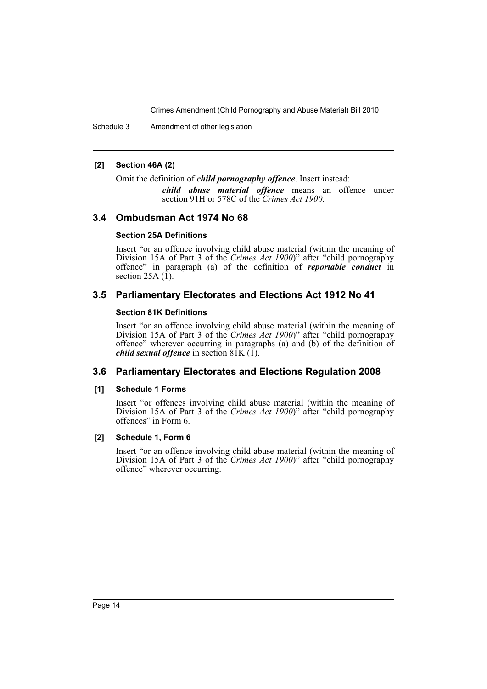Schedule 3 Amendment of other legislation

## **[2] Section 46A (2)**

Omit the definition of *child pornography offence*. Insert instead:

*child abuse material offence* means an offence under section 91H or 578C of the *Crimes Act 1900*.

# **3.4 Ombudsman Act 1974 No 68**

## **Section 25A Definitions**

Insert "or an offence involving child abuse material (within the meaning of Division 15A of Part 3 of the *Crimes Act 1900*)" after "child pornography offence" in paragraph (a) of the definition of *reportable conduct* in section 25A $(1)$ .

# **3.5 Parliamentary Electorates and Elections Act 1912 No 41**

## **Section 81K Definitions**

Insert "or an offence involving child abuse material (within the meaning of Division 15A of Part 3 of the *Crimes Act 1900*)" after "child pornography offence" wherever occurring in paragraphs (a) and (b) of the definition of *child sexual offence* in section 81K (1).

# **3.6 Parliamentary Electorates and Elections Regulation 2008**

## **[1] Schedule 1 Forms**

Insert "or offences involving child abuse material (within the meaning of Division 15A of Part 3 of the *Crimes Act 1900*)" after "child pornography offences" in Form 6.

## **[2] Schedule 1, Form 6**

Insert "or an offence involving child abuse material (within the meaning of Division 15A of Part 3 of the *Crimes Act 1900*)" after "child pornography offence" wherever occurring.